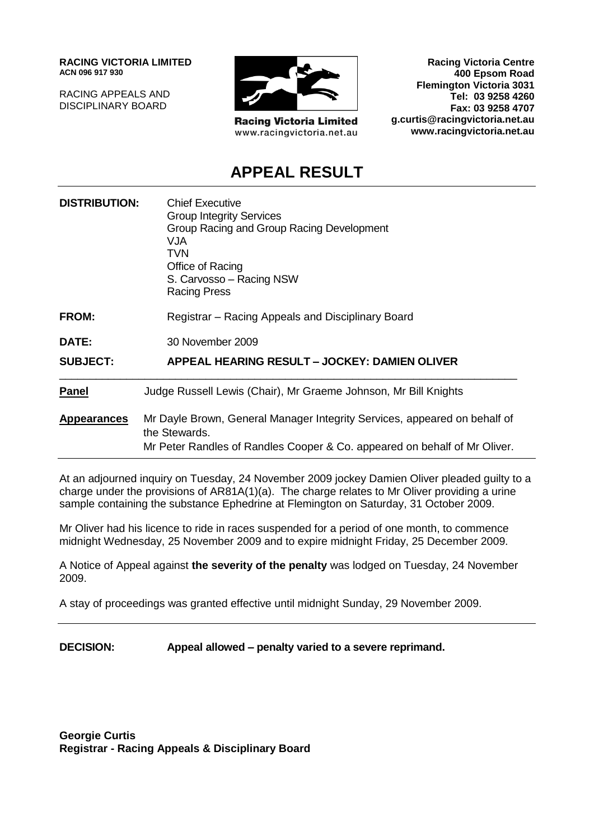**RACING VICTORIA LIMITED ACN 096 917 930**

RACING APPEALS AND DISCIPLINARY BOARD



**Racing Victoria Limited** www.racingvictoria.net.au

**Racing Victoria Centre 400 Epsom Road Flemington Victoria 3031 Tel: 03 9258 4260 Fax: 03 9258 4707 g.curtis@racingvictoria.net.au www.racingvictoria.net.au**

### **APPEAL RESULT**

| <b>DISTRIBUTION:</b> | <b>Chief Executive</b><br><b>Group Integrity Services</b><br>Group Racing and Group Racing Development<br>VJA.<br>TVN<br>Office of Racing<br>S. Carvosso - Racing NSW<br><b>Racing Press</b> |
|----------------------|----------------------------------------------------------------------------------------------------------------------------------------------------------------------------------------------|
| <b>FROM:</b>         | Registrar – Racing Appeals and Disciplinary Board                                                                                                                                            |
| DATE:                | 30 November 2009                                                                                                                                                                             |
| <b>SUBJECT:</b>      | APPEAL HEARING RESULT - JOCKEY: DAMIEN OLIVER                                                                                                                                                |
| <b>Panel</b>         | Judge Russell Lewis (Chair), Mr Graeme Johnson, Mr Bill Knights                                                                                                                              |
| <b>Appearances</b>   | Mr Dayle Brown, General Manager Integrity Services, appeared on behalf of<br>the Stewards.<br>Mr Peter Randles of Randles Cooper & Co. appeared on behalf of Mr Oliver.                      |

At an adjourned inquiry on Tuesday, 24 November 2009 jockey Damien Oliver pleaded guilty to a charge under the provisions of AR81A(1)(a). The charge relates to Mr Oliver providing a urine sample containing the substance Ephedrine at Flemington on Saturday, 31 October 2009.

Mr Oliver had his licence to ride in races suspended for a period of one month, to commence midnight Wednesday, 25 November 2009 and to expire midnight Friday, 25 December 2009.

A Notice of Appeal against **the severity of the penalty** was lodged on Tuesday, 24 November 2009.

A stay of proceedings was granted effective until midnight Sunday, 29 November 2009.

**DECISION: Appeal allowed – penalty varied to a severe reprimand.**

**Georgie Curtis Registrar - Racing Appeals & Disciplinary Board**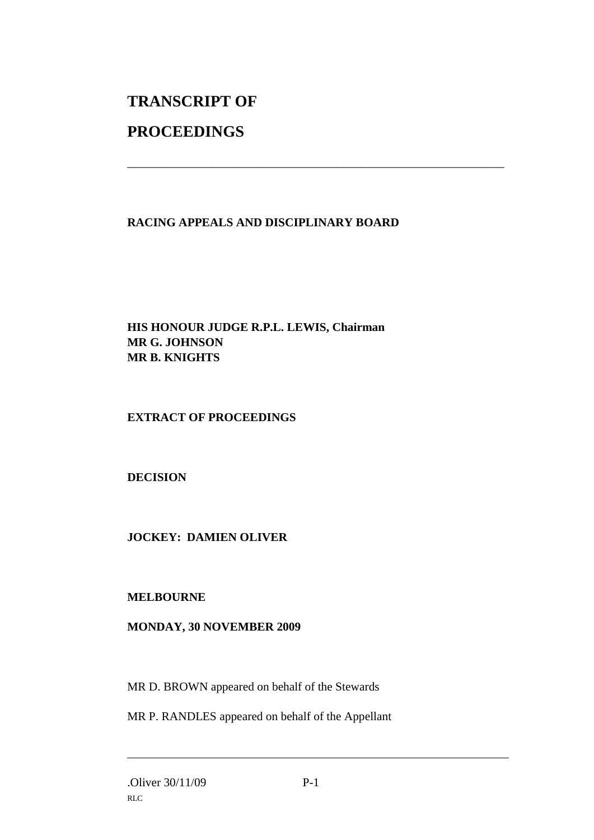## **TRANSCRIPT OF PROCEEDINGS**

# **RACING APPEALS AND DISCIPLINARY BOARD**

\_\_\_\_\_\_\_\_\_\_\_\_\_\_\_\_\_\_\_\_\_\_\_\_\_\_\_\_\_\_\_\_\_\_\_\_\_\_\_\_\_\_\_\_\_\_\_\_\_\_\_\_\_\_\_\_\_\_\_\_\_\_\_

#### **HIS HONOUR JUDGE R.P.L. LEWIS, Chairman MR G. JOHNSON MR B. KNIGHTS**

#### **EXTRACT OF PROCEEDINGS**

#### **DECISION**

#### **JOCKEY: DAMIEN OLIVER**

#### **MELBOURNE**

#### **MONDAY, 30 NOVEMBER 2009**

MR D. BROWN appeared on behalf of the Stewards

MR P. RANDLES appeared on behalf of the Appellant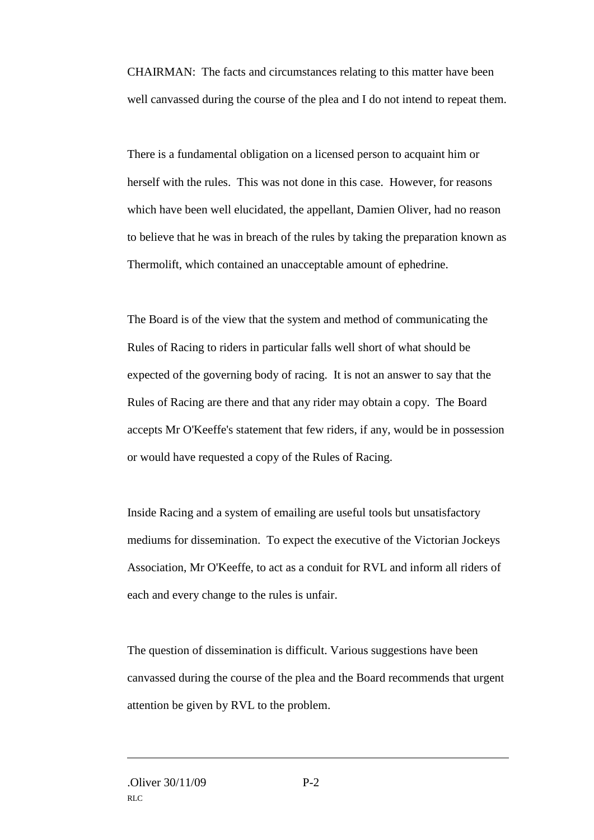CHAIRMAN: The facts and circumstances relating to this matter have been well canvassed during the course of the plea and I do not intend to repeat them.

There is a fundamental obligation on a licensed person to acquaint him or herself with the rules. This was not done in this case. However, for reasons which have been well elucidated, the appellant, Damien Oliver, had no reason to believe that he was in breach of the rules by taking the preparation known as Thermolift, which contained an unacceptable amount of ephedrine.

The Board is of the view that the system and method of communicating the Rules of Racing to riders in particular falls well short of what should be expected of the governing body of racing. It is not an answer to say that the Rules of Racing are there and that any rider may obtain a copy. The Board accepts Mr O'Keeffe's statement that few riders, if any, would be in possession or would have requested a copy of the Rules of Racing.

Inside Racing and a system of emailing are useful tools but unsatisfactory mediums for dissemination. To expect the executive of the Victorian Jockeys Association, Mr O'Keeffe, to act as a conduit for RVL and inform all riders of each and every change to the rules is unfair.

The question of dissemination is difficult. Various suggestions have been canvassed during the course of the plea and the Board recommends that urgent attention be given by RVL to the problem.